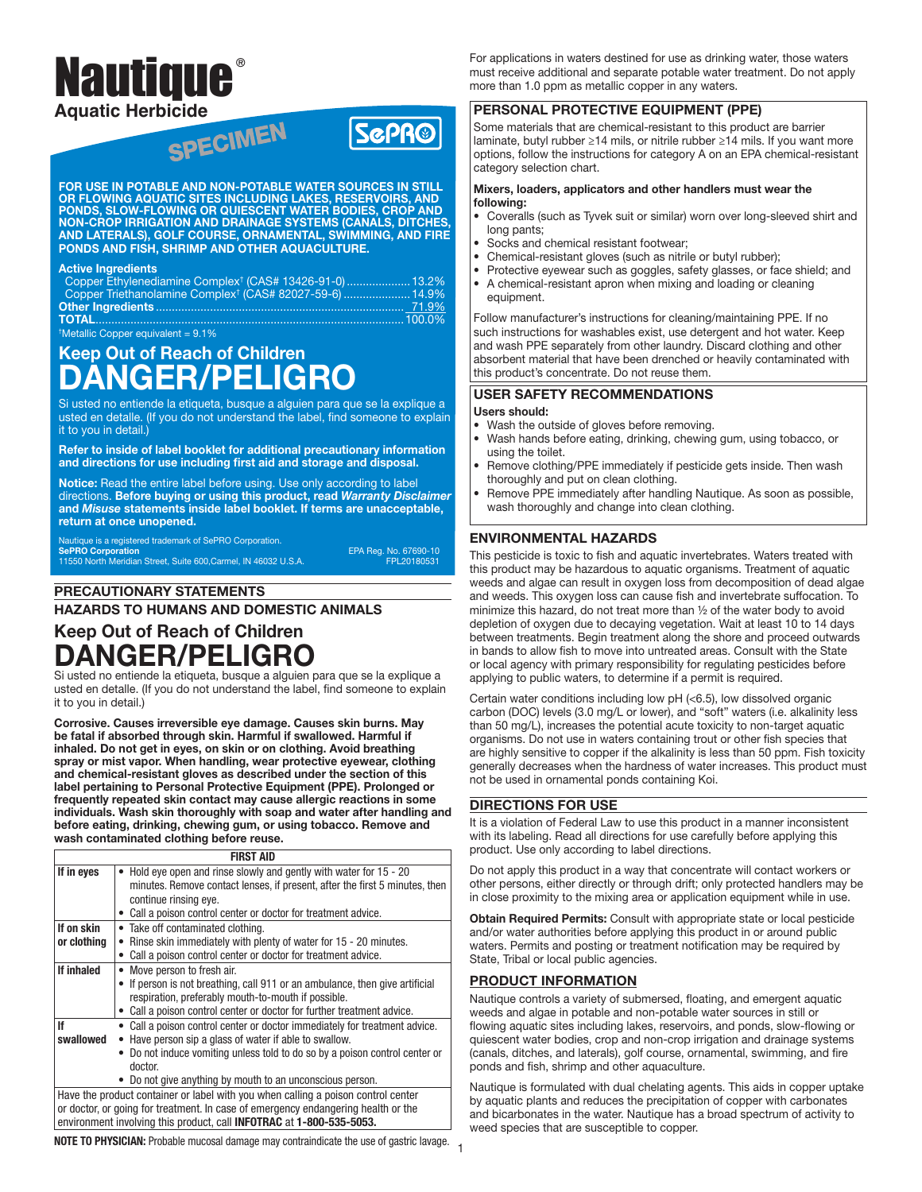# Nautique **® Aquatic Herbicide**

FOR USE IN POTABLE AND NON-POTABLE WATER SOURCES IN STILL OR FLOWING AQUATIC SITES INCLUDING LAKES, RESERVOIRS, AND PONDS, SLOW-FLOWING OR QUIESCENT WATER BODIES, CROP AND NON-CROP IRRIGATION AND DRAINAGE SYSTEMS (CANALS, DITCHES, AND LATERALS), GOLF COURSE, ORNAMENTAL, SWIMMING, AND FIRE PONDS AND FISH, SHRIMP AND OTHER AQUACULTURE.

#### Active Ingredients

| Copper Ethylenediamine Complex <sup>†</sup> (CAS# 13426-91-0)  13.2%                                                                                                                                                                                                                             |  |
|--------------------------------------------------------------------------------------------------------------------------------------------------------------------------------------------------------------------------------------------------------------------------------------------------|--|
| Copper Triethanolamine Complex <sup>†</sup> (CAS# 82027-59-6) <u> 14.9%</u>                                                                                                                                                                                                                      |  |
|                                                                                                                                                                                                                                                                                                  |  |
|                                                                                                                                                                                                                                                                                                  |  |
| $\mathbf{r}$ and $\mathbf{r}$ and $\mathbf{r}$ and $\mathbf{r}$ and $\mathbf{r}$ and $\mathbf{r}$ and $\mathbf{r}$ and $\mathbf{r}$ and $\mathbf{r}$ and $\mathbf{r}$ and $\mathbf{r}$ and $\mathbf{r}$ and $\mathbf{r}$ and $\mathbf{r}$ and $\mathbf{r}$ and $\mathbf{r}$ and $\mathbf{r}$ and |  |

Metallic Copper equivalent  $= 9.1\%$ 

# Keep Out of Reach of Children DANGER/PELIGRO

Si usted no entiende la etiqueta, busque a alguien para que se la explique a usted en detalle. (If you do not understand the label, find someone to explain it to you in detail.)

Refer to inside of label booklet for additional precautionary information and directions for use including first aid and storage and disposal.

Notice: Read the entire label before using. Use only according to label directions. Before buying or using this product, read *Warranty Disclaimer*  and *Misuse* statements inside label booklet. If terms are unacceptable, return at once unopened.

Nautique is a registered trademark of SePRO Corporation. SePRO Corporation EPA Reg. No. 67690-10 11550 North Meridian Street, Suite 600,Carmel, IN 46032 U.S.A. FPL20180531

**SCPR®** 

# PRECAUTIONARY STATEMENTS

HAZARDS TO HUMANS AND DOMESTIC ANIMALS

# Keep Out of Reach of Children DANGER/PELIGRO

Si usted no entiende la etiqueta, busque a alguien para que se la explique a usted en detalle. (If you do not understand the label, find someone to explain it to you in detail.)

Corrosive. Causes irreversible eye damage. Causes skin burns. May be fatal if absorbed through skin. Harmful if swallowed. Harmful if inhaled. Do not get in eyes, on skin or on clothing. Avoid breathing spray or mist vapor. When handling, wear protective eyewear, clothing and chemical-resistant gloves as described under the section of this label pertaining to Personal Protective Equipment (PPE). Prolonged or frequently repeated skin contact may cause allergic reactions in some individuals. Wash skin thoroughly with soap and water after handling and before eating, drinking, chewing gum, or using tobacco. Remove and wash contaminated clothing before reuse.

|                           | <b>FIRST AID</b>                                                                                                                                                                                                                                                                          |
|---------------------------|-------------------------------------------------------------------------------------------------------------------------------------------------------------------------------------------------------------------------------------------------------------------------------------------|
| If in eyes                | Hold eye open and rinse slowly and gently with water for 15 - 20<br>$\bullet$<br>minutes. Remove contact lenses, if present, after the first 5 minutes, then<br>continue rinsing eye.<br>Call a poison control center or doctor for treatment advice.                                     |
| If on skin<br>or clothing | • Take off contaminated clothing.<br>Rinse skin immediately with plenty of water for 15 - 20 minutes.<br>$\bullet$<br>Call a poison control center or doctor for treatment advice.                                                                                                        |
| If inhaled                | Move person to fresh air.<br>$\bullet$<br>• If person is not breathing, call 911 or an ambulance, then give artificial<br>respiration, preferably mouth-to-mouth if possible.<br>• Call a poison control center or doctor for further treatment advice.                                   |
| lf<br>swallowed           | • Call a poison control center or doctor immediately for treatment advice.<br>• Have person sip a glass of water if able to swallow.<br>Do not induce vomiting unless told to do so by a poison control center or<br>doctor.<br>• Do not give anything by mouth to an unconscious person. |
|                           | Have the product container or label with you when calling a poison control center<br>or doctor, or going for treatment. In case of emergency endangering health or the<br>environment involving this product, call INFOTRAC at 1-800-535-5053.                                            |

For applications in waters destined for use as drinking water, those waters must receive additional and separate potable water treatment. Do not apply more than 1.0 ppm as metallic copper in any waters.

## PERSONAL PROTECTIVE EQUIPMENT (PPE)

Some materials that are chemical-resistant to this product are barrier laminate, butyl rubber ≥14 mils, or nitrile rubber ≥14 mils. If you want more options, follow the instructions for category A on an EPA chemical-resistant category selection chart.

#### Mixers, loaders, applicators and other handlers must wear the following:

- Coveralls (such as Tyvek suit or similar) worn over long-sleeved shirt and long pants;
- Socks and chemical resistant footwear;
- Chemical-resistant gloves (such as nitrile or butyl rubber);
- Protective eyewear such as goggles, safety glasses, or face shield; and<br>• A chemical-resistant apron when mixing and loading or cleaning • A chemical-resistant apron when mixing and loading or cleaning equipment.

Follow manufacturer's instructions for cleaning/maintaining PPE. If no such instructions for washables exist, use detergent and hot water. Keep and wash PPE separately from other laundry. Discard clothing and other absorbent material that have been drenched or heavily contaminated with this product's concentrate. Do not reuse them.

## USER SAFETY RECOMMENDATIONS

#### Users should:

- Wash the outside of gloves before removing.
- Wash hands before eating, drinking, chewing gum, using tobacco, or using the toilet.
- Remove clothing/PPE immediately if pesticide gets inside. Then wash thoroughly and put on clean clothing.
- Remove PPE immediately after handling Nautique. As soon as possible, wash thoroughly and change into clean clothing.

## ENVIRONMENTAL HAZARDS

This pesticide is toxic to fish and aquatic invertebrates. Waters treated with this product may be hazardous to aquatic organisms. Treatment of aquatic weeds and algae can result in oxygen loss from decomposition of dead algae and weeds. This oxygen loss can cause fish and invertebrate suffocation. To minimize this hazard, do not treat more than ½ of the water body to avoid depletion of oxygen due to decaying vegetation. Wait at least 10 to 14 days between treatments. Begin treatment along the shore and proceed outwards in bands to allow fish to move into untreated areas. Consult with the State or local agency with primary responsibility for regulating pesticides before applying to public waters, to determine if a permit is required.

Certain water conditions including low pH (<6.5), low dissolved organic carbon (DOC) levels (3.0 mg/L or lower), and "soft" waters (i.e. alkalinity less than 50 mg/L), increases the potential acute toxicity to non-target aquatic organisms. Do not use in waters containing trout or other fish species that are highly sensitive to copper if the alkalinity is less than 50 ppm. Fish toxicity generally decreases when the hardness of water increases. This product must not be used in ornamental ponds containing Koi.

#### DIRECTIONS FOR USE

It is a violation of Federal Law to use this product in a manner inconsistent with its labeling. Read all directions for use carefully before applying this product. Use only according to label directions.

Do not apply this product in a way that concentrate will contact workers or other persons, either directly or through drift; only protected handlers may be in close proximity to the mixing area or application equipment while in use.

Obtain Required Permits: Consult with appropriate state or local pesticide and/or water authorities before applying this product in or around public waters. Permits and posting or treatment notification may be required by State, Tribal or local public agencies.

# PRODUCT INFORMATION

Nautique controls a variety of submersed, floating, and emergent aquatic weeds and algae in potable and non-potable water sources in still or flowing aquatic sites including lakes, reservoirs, and ponds, slow-flowing or quiescent water bodies, crop and non-crop irrigation and drainage systems (canals, ditches, and laterals), golf course, ornamental, swimming, and fire ponds and fish, shrimp and other aquaculture.

Nautique is formulated with dual chelating agents. This aids in copper uptake by aquatic plants and reduces the precipitation of copper with carbonates and bicarbonates in the water. Nautique has a broad spectrum of activity to weed species that are susceptible to copper.

1 NOTE TO PHYSICIAN: Probable mucosal damage may contraindicate the use of gastric lavage.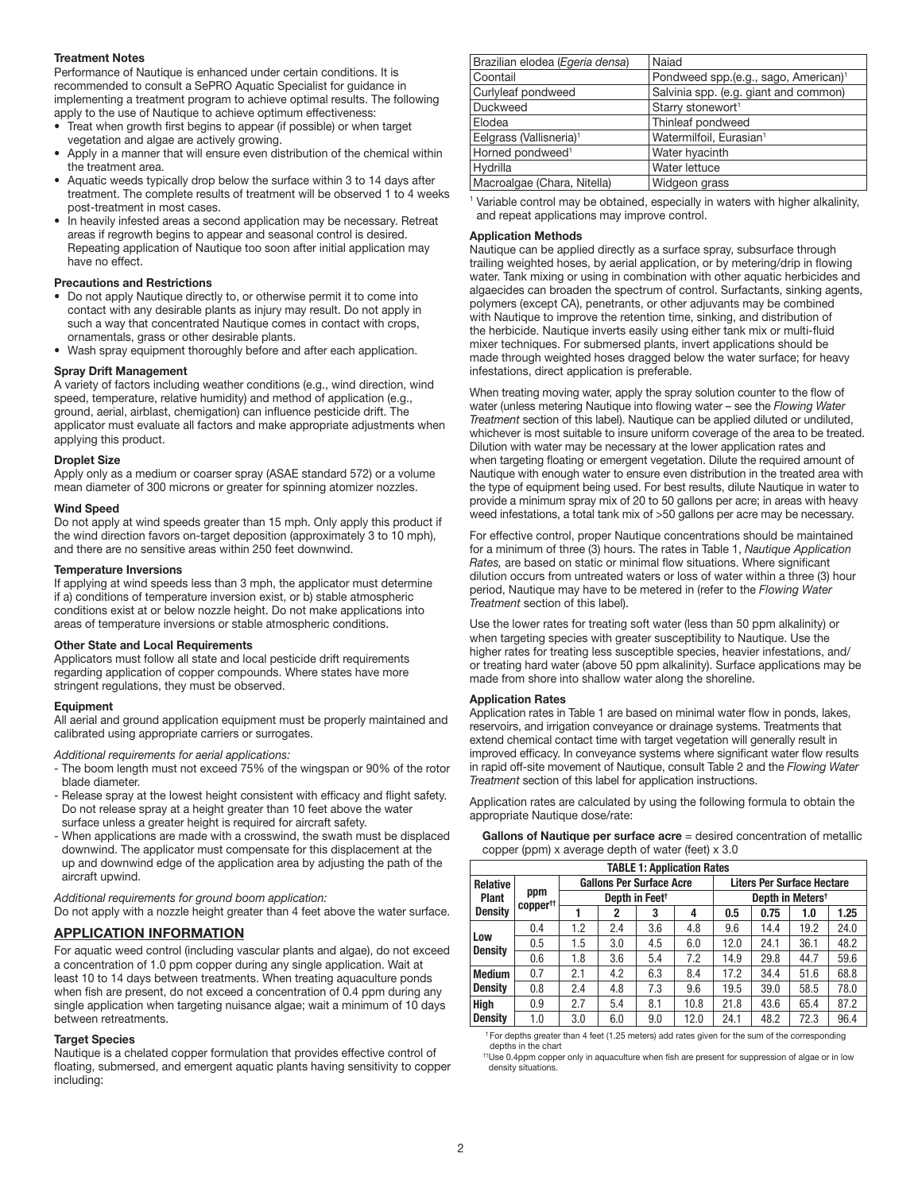#### Treatment Notes

Performance of Nautique is enhanced under certain conditions. It is recommended to consult a SePRO Aquatic Specialist for guidance in implementing a treatment program to achieve optimal results. The following apply to the use of Nautique to achieve optimum effectiveness:

- Treat when growth first begins to appear (if possible) or when target vegetation and algae are actively growing.
- Apply in a manner that will ensure even distribution of the chemical within the treatment area.
- Aquatic weeds typically drop below the surface within 3 to 14 days after treatment. The complete results of treatment will be observed 1 to 4 weeks post-treatment in most cases.
- In heavily infested areas a second application may be necessary. Retreat areas if regrowth begins to appear and seasonal control is desired. Repeating application of Nautique too soon after initial application may have no effect.

#### Precautions and Restrictions

- Do not apply Nautique directly to, or otherwise permit it to come into contact with any desirable plants as injury may result. Do not apply in such a way that concentrated Nautique comes in contact with crops, ornamentals, grass or other desirable plants.
- Wash spray equipment thoroughly before and after each application.

#### Spray Drift Management

A variety of factors including weather conditions (e.g., wind direction, wind speed, temperature, relative humidity) and method of application (e.g., ground, aerial, airblast, chemigation) can influence pesticide drift. The applicator must evaluate all factors and make appropriate adjustments when applying this product.

#### Droplet Size

Apply only as a medium or coarser spray (ASAE standard 572) or a volume mean diameter of 300 microns or greater for spinning atomizer nozzles.

#### Wind Speed

Do not apply at wind speeds greater than 15 mph. Only apply this product if the wind direction favors on-target deposition (approximately 3 to 10 mph), and there are no sensitive areas within 250 feet downwind.

#### Temperature Inversions

If applying at wind speeds less than 3 mph, the applicator must determine if a) conditions of temperature inversion exist, or b) stable atmospheric conditions exist at or below nozzle height. Do not make applications into areas of temperature inversions or stable atmospheric conditions.

#### Other State and Local Requirements

Applicators must follow all state and local pesticide drift requirements regarding application of copper compounds. Where states have more stringent regulations, they must be observed.

#### Equipment

All aerial and ground application equipment must be properly maintained and calibrated using appropriate carriers or surrogates.

*Additional requirements for aerial applications:*

- The boom length must not exceed 75% of the wingspan or 90% of the rotor blade diameter.
- Release spray at the lowest height consistent with efficacy and flight safety. Do not release spray at a height greater than 10 feet above the water surface unless a greater height is required for aircraft safety.
- When applications are made with a crosswind, the swath must be displaced downwind. The applicator must compensate for this displacement at the up and downwind edge of the application area by adjusting the path of the aircraft upwind.

#### *Additional requirements for ground boom application:* Do not apply with a nozzle height greater than 4 feet above the water surface.

#### APPLICATION INFORMATION

For aquatic weed control (including vascular plants and algae), do not exceed a concentration of 1.0 ppm copper during any single application. Wait at least 10 to 14 days between treatments. When treating aquaculture ponds when fish are present, do not exceed a concentration of 0.4 ppm during any single application when targeting nuisance algae; wait a minimum of 10 days between retreatments.

#### Target Species

Nautique is a chelated copper formulation that provides effective control of floating, submersed, and emergent aquatic plants having sensitivity to copper including:

| Brazilian elodea (Egeria densa)     | Naiad                                            |
|-------------------------------------|--------------------------------------------------|
| Coontail                            | Pondweed spp.(e.g., sago, American) <sup>1</sup> |
| Curlyleaf pondweed                  | Salvinia spp. (e.g. giant and common)            |
| Duckweed                            | Starry stonewort <sup>1</sup>                    |
| Elodea                              | Thinleaf pondweed                                |
| Eelgrass (Vallisneria) <sup>1</sup> | Watermilfoil, Eurasian <sup>1</sup>              |
| Horned pondweed <sup>1</sup>        | Water hyacinth                                   |
| Hydrilla                            | Water lettuce                                    |
| Macroalgae (Chara, Nitella)         | Widgeon grass                                    |

<sup>1</sup> Variable control may be obtained, especially in waters with higher alkalinity, and repeat applications may improve control.

#### Application Methods

Nautique can be applied directly as a surface spray, subsurface through trailing weighted hoses, by aerial application, or by metering/drip in flowing water. Tank mixing or using in combination with other aquatic herbicides and algaecides can broaden the spectrum of control. Surfactants, sinking agents, polymers (except CA), penetrants, or other adjuvants may be combined with Nautique to improve the retention time, sinking, and distribution of the herbicide. Nautique inverts easily using either tank mix or multi-fluid mixer techniques. For submersed plants, invert applications should be made through weighted hoses dragged below the water surface; for heavy infestations, direct application is preferable.

When treating moving water, apply the spray solution counter to the flow of water (unless metering Nautique into flowing water – see the *Flowing Water Treatment* section of this label). Nautique can be applied diluted or undiluted, whichever is most suitable to insure uniform coverage of the area to be treated. Dilution with water may be necessary at the lower application rates and when targeting floating or emergent vegetation. Dilute the required amount of Nautique with enough water to ensure even distribution in the treated area with the type of equipment being used. For best results, dilute Nautique in water to provide a minimum spray mix of 20 to 50 gallons per acre; in areas with heavy weed infestations, a total tank mix of >50 gallons per acre may be necessary.

For effective control, proper Nautique concentrations should be maintained for a minimum of three (3) hours. The rates in Table 1, *Nautique Application Rates,* are based on static or minimal flow situations. Where significant dilution occurs from untreated waters or loss of water within a three (3) hour period, Nautique may have to be metered in (refer to the *Flowing Water Treatment* section of this label).

Use the lower rates for treating soft water (less than 50 ppm alkalinity) or when targeting species with greater susceptibility to Nautique. Use the higher rates for treating less susceptible species, heavier infestations, and/ or treating hard water (above 50 ppm alkalinity). Surface applications may be made from shore into shallow water along the shoreline.

#### Application Rates

Application rates in Table 1 are based on minimal water flow in ponds, lakes, reservoirs, and irrigation conveyance or drainage systems. Treatments that extend chemical contact time with target vegetation will generally result in improved efficacy. In conveyance systems where significant water flow results in rapid off-site movement of Nautique, consult Table 2 and the *Flowing Water Treatment* section of this label for application instructions.

Application rates are calculated by using the following formula to obtain the appropriate Nautique dose/rate:

| Gallons of Nautique per surface $\alpha$ cre = desired concentration of metallic |
|----------------------------------------------------------------------------------|
| copper (ppm) x average depth of water (feet) $\times$ 3.0                        |

| <b>TABLE 1: Application Rates</b> |                             |                                 |     |     |      |                                   |      |      |      |
|-----------------------------------|-----------------------------|---------------------------------|-----|-----|------|-----------------------------------|------|------|------|
| <b>Relative</b>                   | ppm<br>copper <sup>tt</sup> | <b>Gallons Per Surface Acre</b> |     |     |      | <b>Liters Per Surface Hectare</b> |      |      |      |
| <b>Plant</b>                      |                             | Depth in Feet <sup>+</sup>      |     |     |      | Depth in Meters <sup>t</sup>      |      |      |      |
| <b>Density</b>                    |                             |                                 | 2   | 3   | 4    | 0.5                               | 0.75 | 1.0  | 1.25 |
|                                   | 0.4                         | 1.2                             | 2.4 | 3.6 | 4.8  | 9.6                               | 14.4 | 19.2 | 24.0 |
| Low<br><b>Density</b>             | 0.5                         | 1.5                             | 3.0 | 4.5 | 6.0  | 12.0                              | 24.1 | 36.1 | 48.2 |
|                                   | 0.6                         | 1.8                             | 3.6 | 5.4 | 7.2  | 14.9                              | 29.8 | 44.7 | 59.6 |
| <b>Medium</b>                     | 0.7                         | 2.1                             | 4.2 | 6.3 | 8.4  | 17.2                              | 34.4 | 51.6 | 68.8 |
| <b>Density</b>                    | 0.8                         | 2.4                             | 4.8 | 7.3 | 9.6  | 19.5                              | 39.0 | 58.5 | 78.0 |
| <b>High</b>                       | 0.9                         | 2.7                             | 5.4 | 8.1 | 10.8 | 21.8                              | 43.6 | 65.4 | 87.2 |
| <b>Density</b>                    | 1.0                         | 3.0                             | 6.0 | 9.0 | 12.0 | 24.1                              | 48.2 | 72.3 | 96.4 |

† For depths greater than 4 feet (1.25 meters) add rates given for the sum of the corresponding depths in the chart

††Use 0.4ppm copper only in aquaculture when fish are present for suppression of algae or in low density situations.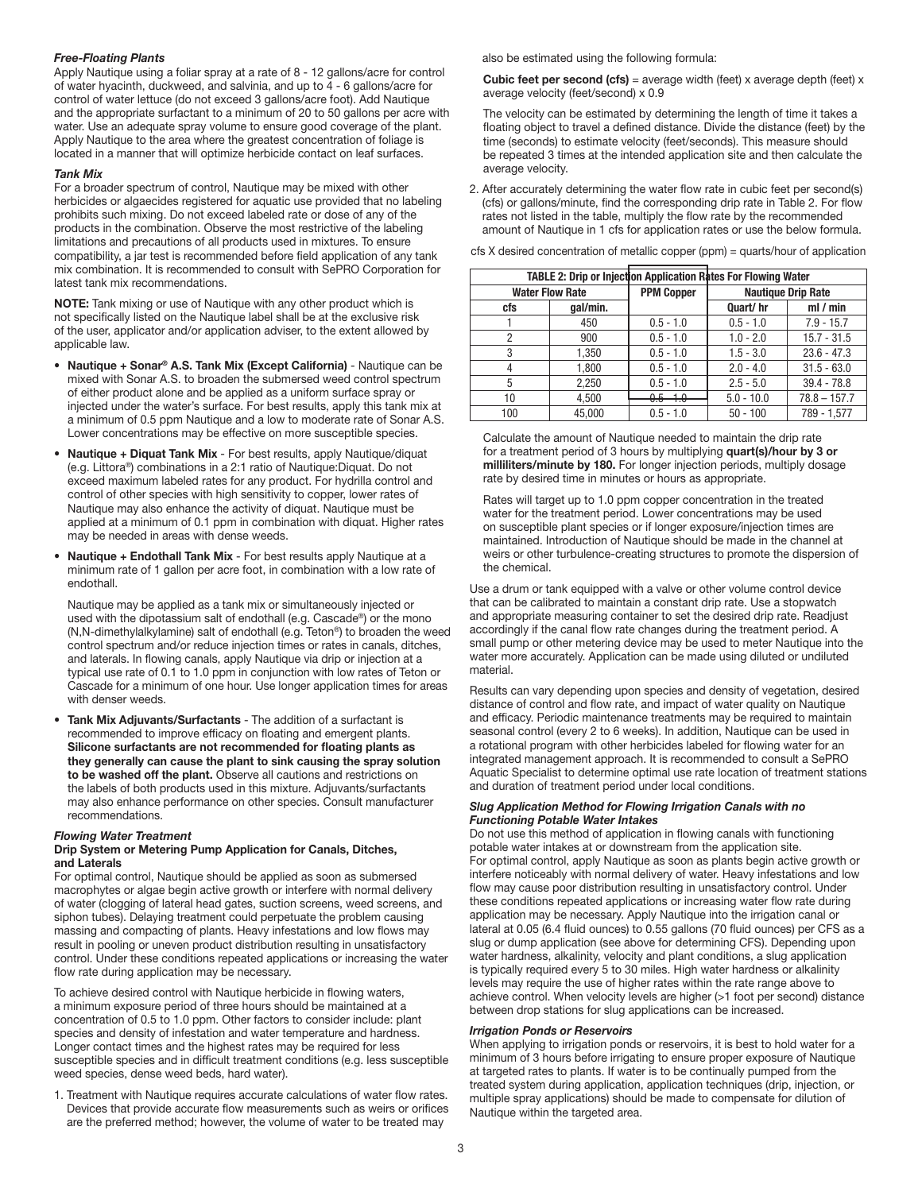#### *Free-Floating Plants*

Apply Nautique using a foliar spray at a rate of 8 - 12 gallons/acre for control of water hyacinth, duckweed, and salvinia, and up to 4 - 6 gallons/acre for control of water lettuce (do not exceed 3 gallons/acre foot). Add Nautique and the appropriate surfactant to a minimum of 20 to 50 gallons per acre with water. Use an adequate spray volume to ensure good coverage of the plant. Apply Nautique to the area where the greatest concentration of foliage is located in a manner that will optimize herbicide contact on leaf surfaces.

#### *Tank Mix*

For a broader spectrum of control, Nautique may be mixed with other herbicides or algaecides registered for aquatic use provided that no labeling prohibits such mixing. Do not exceed labeled rate or dose of any of the products in the combination. Observe the most restrictive of the labeling limitations and precautions of all products used in mixtures. To ensure compatibility, a jar test is recommended before field application of any tank mix combination. It is recommended to consult with SePRO Corporation for latest tank mix recommendations.

NOTE: Tank mixing or use of Nautique with any other product which is not specifically listed on the Nautique label shall be at the exclusive risk of the user, applicator and/or application adviser, to the extent allowed by applicable law.

- Nautique + Sonar® A.S. Tank Mix (Except California) Nautique can be mixed with Sonar A.S. to broaden the submersed weed control spectrum of either product alone and be applied as a uniform surface spray or injected under the water's surface. For best results, apply this tank mix at a minimum of 0.5 ppm Nautique and a low to moderate rate of Sonar A.S. Lower concentrations may be effective on more susceptible species.
- Nautique + Diquat Tank Mix For best results, apply Nautique/diquat (e.g. Littora®) combinations in a 2:1 ratio of Nautique:Diquat. Do not exceed maximum labeled rates for any product. For hydrilla control and control of other species with high sensitivity to copper, lower rates of Nautique may also enhance the activity of diquat. Nautique must be applied at a minimum of 0.1 ppm in combination with diquat. Higher rates may be needed in areas with dense weeds.
- Nautique + Endothall Tank Mix For best results apply Nautique at a minimum rate of 1 gallon per acre foot, in combination with a low rate of endothall.

 Nautique may be applied as a tank mix or simultaneously injected or used with the dipotassium salt of endothall (e.g. Cascade®) or the mono (N,N-dimethylalkylamine) salt of endothall (e.g. Teton®) to broaden the weed control spectrum and/or reduce injection times or rates in canals, ditches, and laterals. In flowing canals, apply Nautique via drip or injection at a typical use rate of 0.1 to 1.0 ppm in conjunction with low rates of Teton or Cascade for a minimum of one hour. Use longer application times for areas with denser weeds.

• Tank Mix Adjuvants/Surfactants - The addition of a surfactant is recommended to improve efficacy on floating and emergent plants. Silicone surfactants are not recommended for floating plants as they generally can cause the plant to sink causing the spray solution to be washed off the plant. Observe all cautions and restrictions on the labels of both products used in this mixture. Adjuvants/surfactants may also enhance performance on other species. Consult manufacturer recommendations.

#### *Flowing Water Treatment*

#### Drip System or Metering Pump Application for Canals, Ditches, and Laterals

For optimal control, Nautique should be applied as soon as submersed macrophytes or algae begin active growth or interfere with normal delivery of water (clogging of lateral head gates, suction screens, weed screens, and siphon tubes). Delaying treatment could perpetuate the problem causing massing and compacting of plants. Heavy infestations and low flows may result in pooling or uneven product distribution resulting in unsatisfactory control. Under these conditions repeated applications or increasing the water flow rate during application may be necessary.

To achieve desired control with Nautique herbicide in flowing waters, a minimum exposure period of three hours should be maintained at a concentration of 0.5 to 1.0 ppm. Other factors to consider include: plant species and density of infestation and water temperature and hardness. Longer contact times and the highest rates may be required for less susceptible species and in difficult treatment conditions (e.g. less susceptible weed species, dense weed beds, hard water).

1. Treatment with Nautique requires accurate calculations of water flow rates. Devices that provide accurate flow measurements such as weirs or orifices are the preferred method; however, the volume of water to be treated may

also be estimated using the following formula:

**Cubic feet per second (cfs)** = average width (feet) x average depth (feet) x average velocity (feet/second) x 0.9

 The velocity can be estimated by determining the length of time it takes a floating object to travel a defined distance. Divide the distance (feet) by the time (seconds) to estimate velocity (feet/seconds). This measure should be repeated 3 times at the intended application site and then calculate the average velocity.

2. After accurately determining the water flow rate in cubic feet per second(s) (cfs) or gallons/minute, find the corresponding drip rate in Table 2. For flow rates not listed in the table, multiply the flow rate by the recommended amount of Nautique in 1 cfs for application rates or use the below formula.

cfs X desired concentration of metallic copper (ppm) = quarts/hour of application

| <b>TABLE 2: Drip or Injection Application Rates For Flowing Water</b> |          |                            |                           |                |  |  |
|-----------------------------------------------------------------------|----------|----------------------------|---------------------------|----------------|--|--|
| <b>Water Flow Rate</b>                                                |          | <b>PPM Copper</b>          | <b>Nautique Drip Rate</b> |                |  |  |
| cfs                                                                   | gal/min. |                            | Quart/hr                  | ml/min         |  |  |
|                                                                       | 450      | $0.5 - 1.0$                | $0.5 - 1.0$               | $7.9 - 15.7$   |  |  |
| 2                                                                     | 900      | $0.5 - 1.0$                | $1.0 - 2.0$               | $15.7 - 31.5$  |  |  |
| 3                                                                     | 1,350    | $0.5 - 1.0$                | $1.5 - 3.0$               | $23.6 - 47.3$  |  |  |
|                                                                       | 1,800    | $0.5 - 1.0$                | $2.0 - 4.0$               | $31.5 - 63.0$  |  |  |
| 5                                                                     | 2.250    | $0.5 - 1.0$                | $2.5 - 5.0$               | $39.4 - 78.8$  |  |  |
| 10                                                                    | 4.500    | $0.5 \pm 0.$<br>ᠸ.ᠸ<br>᠇.ᠣ | $5.0 - 10.0$              | $78.8 - 157.7$ |  |  |
| 100                                                                   | 45.000   | $0.5 - 1.0$                | $50 - 100$                | 789 - 1.577    |  |  |

 Calculate the amount of Nautique needed to maintain the drip rate for a treatment period of 3 hours by multiplying quart(s)/hour by 3 or milliliters/minute by 180. For longer injection periods, multiply dosage rate by desired time in minutes or hours as appropriate.

 Rates will target up to 1.0 ppm copper concentration in the treated water for the treatment period. Lower concentrations may be used on susceptible plant species or if longer exposure/injection times are maintained. Introduction of Nautique should be made in the channel at weirs or other turbulence-creating structures to promote the dispersion of the chemical.

Use a drum or tank equipped with a valve or other volume control device that can be calibrated to maintain a constant drip rate. Use a stopwatch and appropriate measuring container to set the desired drip rate. Readjust accordingly if the canal flow rate changes during the treatment period. A small pump or other metering device may be used to meter Nautique into the water more accurately. Application can be made using diluted or undiluted material.

Results can vary depending upon species and density of vegetation, desired distance of control and flow rate, and impact of water quality on Nautique and efficacy. Periodic maintenance treatments may be required to maintain seasonal control (every 2 to 6 weeks). In addition, Nautique can be used in a rotational program with other herbicides labeled for flowing water for an integrated management approach. It is recommended to consult a SePRO Aquatic Specialist to determine optimal use rate location of treatment stations and duration of treatment period under local conditions.

#### *Slug Application Method for Flowing Irrigation Canals with no Functioning Potable Water Intakes*

Do not use this method of application in flowing canals with functioning potable water intakes at or downstream from the application site. For optimal control, apply Nautique as soon as plants begin active growth or interfere noticeably with normal delivery of water. Heavy infestations and low flow may cause poor distribution resulting in unsatisfactory control. Under these conditions repeated applications or increasing water flow rate during application may be necessary. Apply Nautique into the irrigation canal or lateral at 0.05 (6.4 fluid ounces) to 0.55 gallons (70 fluid ounces) per CFS as a slug or dump application (see above for determining CFS). Depending upon water hardness, alkalinity, velocity and plant conditions, a slug application is typically required every 5 to 30 miles. High water hardness or alkalinity levels may require the use of higher rates within the rate range above to achieve control. When velocity levels are higher (>1 foot per second) distance between drop stations for slug applications can be increased.

#### *Irrigation Ponds or Reservoirs*

When applying to irrigation ponds or reservoirs, it is best to hold water for a minimum of 3 hours before irrigating to ensure proper exposure of Nautique at targeted rates to plants. If water is to be continually pumped from the treated system during application, application techniques (drip, injection, or multiple spray applications) should be made to compensate for dilution of Nautique within the targeted area.